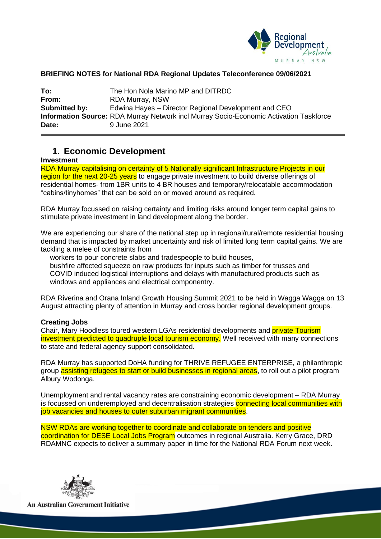

### **BRIEFING NOTES for National RDA Regional Updates Teleconference 09/06/2021**

| To:           | The Hon Nola Marino MP and DITRDC                                                             |
|---------------|-----------------------------------------------------------------------------------------------|
| From:         | <b>RDA Murray, NSW</b>                                                                        |
| Submitted by: | Edwina Hayes - Director Regional Development and CEO                                          |
|               | <b>Information Source: RDA Murray Network incl Murray Socio-Economic Activation Taskforce</b> |
| Date:         | 9 June 2021                                                                                   |

## **1. Economic Development**

#### **Investment**

RDA Murray capitalising on certainty of 5 Nationally significant Infrastructure Projects in our region for the next 20-25 years to engage private investment to build diverse offerings of residential homes- from 1BR units to 4 BR houses and temporary/relocatable accommodation "cabins/tinyhomes" that can be sold on or moved around as required.

RDA Murray focussed on raising certainty and limiting risks around longer term capital gains to stimulate private investment in land development along the border.

We are experiencing our share of the national step up in regional/rural/remote residential housing demand that is impacted by market uncertainty and risk of limited long term capital gains. We are tackling a melee of constraints from

workers to pour concrete slabs and tradespeople to build houses,

bushfire affected squeeze on raw products for inputs such as timber for trusses and COVID induced logistical interruptions and delays with manufactured products such as windows and appliances and electrical componentry.

RDA Riverina and Orana Inland Growth Housing Summit 2021 to be held in Wagga Wagga on 13 August attracting plenty of attention in Murray and cross border regional development groups.

### **Creating Jobs**

Chair, Mary Hoodless toured western LGAs residential developments and private Tourism investment predicted to quadruple local tourism economy. Well received with many connections to state and federal agency support consolidated.

RDA Murray has supported DoHA funding for THRIVE REFUGEE ENTERPRISE, a philanthropic group assisting refugees to start or build businesses in regional areas, to roll out a pilot program Albury Wodonga.

Unemployment and rental vacancy rates are constraining economic development – RDA Murray is focussed on underemployed and decentralisation strategies connecting local communities with job vacancies and houses to outer suburban migrant communities.

NSW RDAs are working together to coordinate and collaborate on tenders and positive coordination for DESE Local Jobs Program outcomes in regional Australia. Kerry Grace, DRD RDAMNC expects to deliver a summary paper in time for the National RDA Forum next week.



**An Australian Government Initiative**